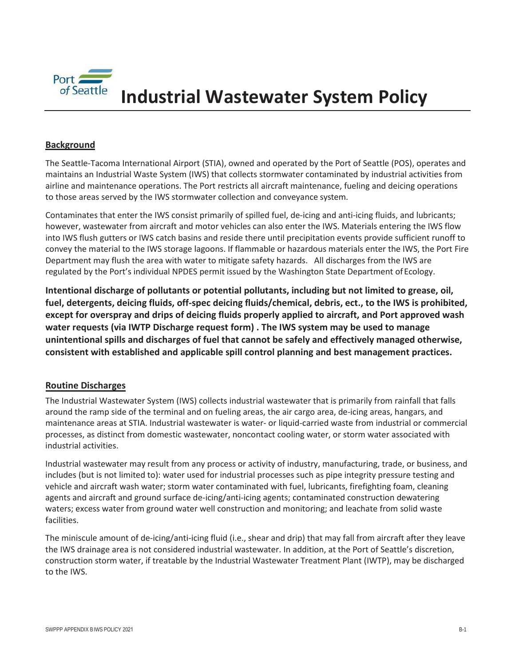

# **Industrial Wastewater System Policy**

## **Background**

The Seattle-Tacoma International Airport (STIA), owned and operated by the Port of Seattle (POS), operates and maintains an Industrial Waste System (IWS) that collects stormwater contaminated by industrial activities from airline and maintenance operations. The Port restricts all aircraft maintenance, fueling and deicing operations to those areas served by the IWS stormwater collection and conveyance system.

Contaminates that enter the IWS consist primarily of spilled fuel, de-icing and anti-icing fluids, and lubricants; however, wastewater from aircraft and motor vehicles can also enter the IWS. Materials entering the IWS flow into IWS flush gutters or IWS catch basins and reside there until precipitation events provide sufficient runoff to convey the material to the IWS storage lagoons. If flammable or hazardous materials enter the IWS, the Port Fire Department may flush the area with water to mitigate safety hazards. All discharges from the IWS are regulated by the Port's individual NPDES permit issued by the Washington State Department of Ecology.

**Intentional discharge of pollutants or potential pollutants, including but not limited to grease, oil, fuel, detergents, deicing fluids, off-spec deicing fluids/chemical, debris, ect., to the IWS is prohibited, except for overspray and drips of deicing fluids properly applied to aircraft, and Port approved wash water requests (via IWTP Discharge request form) . The IWS system may be used to manage unintentional spills and discharges of fuel that cannot be safely and effectively managed otherwise, consistent with established and applicable spill control planning and best management practices.**

#### **Routine Discharges**

The Industrial Wastewater System (IWS) collects industrial wastewater that is primarily from rainfall that falls around the ramp side of the terminal and on fueling areas, the air cargo area, de-icing areas, hangars, and maintenance areas at STIA. Industrial wastewater is water- or liquid-carried waste from industrial or commercial processes, as distinct from domestic wastewater, noncontact cooling water, or storm water associated with industrial activities.

Industrial wastewater may result from any process or activity of industry, manufacturing, trade, or business, and includes (but is not limited to): water used for industrial processes such as pipe integrity pressure testing and vehicle and aircraft wash water; storm water contaminated with fuel, lubricants, firefighting foam, cleaning agents and aircraft and ground surface de-icing/anti-icing agents; contaminated construction dewatering waters; excess water from ground water well construction and monitoring; and leachate from solid waste facilities.

The miniscule amount of de-icing/anti-icing fluid (i.e., shear and drip) that may fall from aircraft after they leave the IWS drainage area is not considered industrial wastewater. In addition, at the Port of Seattle's discretion, construction storm water, if treatable by the Industrial Wastewater Treatment Plant (IWTP), may be discharged to the IWS.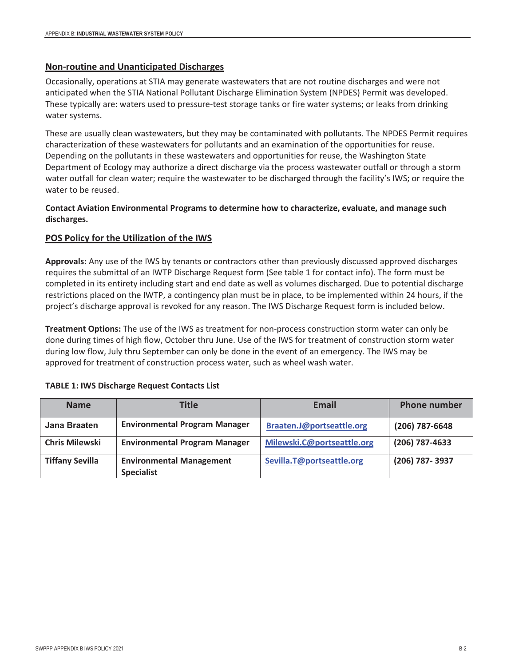## **Non-routine and Unanticipated Discharges**

Occasionally, operations at STIA may generate wastewaters that are not routine discharges and were not anticipated when the STIA National Pollutant Discharge Elimination System (NPDES) Permit was developed. These typically are: waters used to pressure-test storage tanks or fire water systems; or leaks from drinking water systems.

These are usually clean wastewaters, but they may be contaminated with pollutants. The NPDES Permit requires characterization of these wastewaters for pollutants and an examination of the opportunities for reuse. Depending on the pollutants in these wastewaters and opportunities for reuse, the Washington State Department of Ecology may authorize a direct discharge via the process wastewater outfall or through a storm water outfall for clean water; require the wastewater to be discharged through the facility's IWS; or require the water to be reused.

## **Contact Aviation Environmental Programs to determine how to characterize, evaluate, and manage such discharges.**

# **POS Policy for the Utilization of the IWS**

**Approvals:** Any use of the IWS by tenants or contractors other than previously discussed approved discharges requires the submittal of an IWTP Discharge Request form (See table 1 for contact info). The form must be completed in its entirety including start and end date as well as volumes discharged. Due to potential discharge restrictions placed on the IWTP, a contingency plan must be in place, to be implemented within 24 hours, if the project's discharge approval is revoked for any reason. The IWS Discharge Request form is included below.

**Treatment Options:** The use of the IWS as treatment for non-process construction storm water can only be done during times of high flow, October thru June. Use of the IWS for treatment of construction storm water during low flow, July thru September can only be done in the event of an emergency. The IWS may be approved for treatment of construction process water, such as wheel wash water.

| <b>Name</b>            | <b>Title</b>                                         | Email                      | <b>Phone number</b> |
|------------------------|------------------------------------------------------|----------------------------|---------------------|
| Jana Braaten           | <b>Environmental Program Manager</b>                 | Braaten.J@portseattle.org  | (206) 787-6648      |
| <b>Chris Milewski</b>  | <b>Environmental Program Manager</b>                 | Milewski.C@portseattle.org | (206) 787-4633      |
| <b>Tiffany Sevilla</b> | <b>Environmental Management</b><br><b>Specialist</b> | Sevilla.T@portseattle.org  | (206) 787-3937      |

#### **TABLE 1: IWS Discharge Request Contacts List**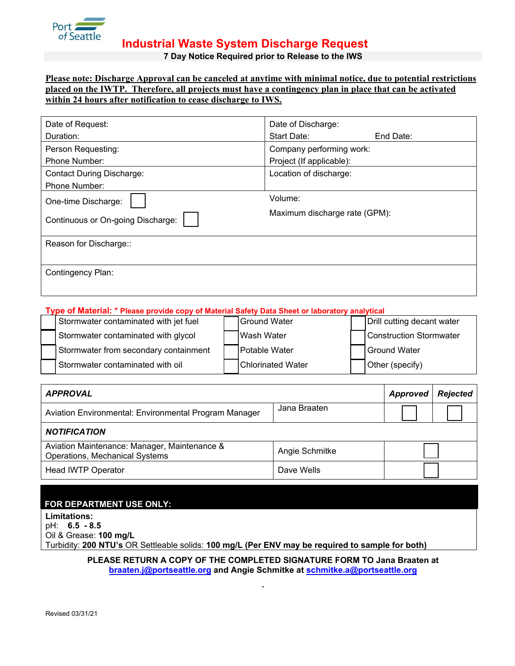

**Industrial Waste System Discharge Request**

**7 Day Notice Required prior to Release to the IWS**

#### **Please note: Discharge Approval can be canceled at anytime with minimal notice, due to potential restrictions placed on the IWTP. Therefore, all projects must have a contingency plan in place that can be activated within 24 hours after notification to cease discharge to IWS.**

| Date of Request:                  | Date of Discharge:            |  |  |
|-----------------------------------|-------------------------------|--|--|
| Duration:                         | Start Date:<br>End Date:      |  |  |
| Person Requesting:                | Company performing work:      |  |  |
| Phone Number:                     | Project (If applicable):      |  |  |
| <b>Contact During Discharge:</b>  | Location of discharge:        |  |  |
| Phone Number:                     |                               |  |  |
| One-time Discharge:               | Volume:                       |  |  |
| Continuous or On-going Discharge: | Maximum discharge rate (GPM): |  |  |
| Reason for Discharge::            |                               |  |  |
|                                   |                               |  |  |
| Contingency Plan:                 |                               |  |  |
|                                   |                               |  |  |
|                                   |                               |  |  |

#### **Type of Material: \* Please provide copy of Material Safety Data Sheet or laboratory analytical**

| Stormwater contaminated with jet fuel | <b>Ground Water</b>  | Drill cutting decant water |
|---------------------------------------|----------------------|----------------------------|
| Stormwater contaminated with glycol   | IWash Water          | Construction Stormwater    |
| Stormwater from secondary containment | <b>Potable Water</b> | Ground Water               |
| Stormwater contaminated with oil      | Chlorinated Water    | Other (specify)            |

| <b>APPROVAL</b>                                                                       | Approved       | <b>Rejected</b> |  |  |  |  |  |
|---------------------------------------------------------------------------------------|----------------|-----------------|--|--|--|--|--|
| Aviation Environmental: Environmental Program Manager                                 | Jana Braaten   |                 |  |  |  |  |  |
| <b>NOTIFICATION</b>                                                                   |                |                 |  |  |  |  |  |
| Aviation Maintenance: Manager, Maintenance &<br><b>Operations, Mechanical Systems</b> | Angie Schmitke |                 |  |  |  |  |  |
| <b>Head IWTP Operator</b>                                                             | Dave Wells     |                 |  |  |  |  |  |

| <b>FOR DEPARTMENT USE ONLY:</b> |  |
|---------------------------------|--|
|                                 |  |

**Limitations:**  pH: **6.5 - 8.5** Oil & Grease: **100 mg/L** Turbidity: **200 NTU's** OR Settleable solids: **100 mg/L (Per ENV may be required to sample for both)**

> **PLEASE RETURN A COPY OF THE COMPLETED SIGNATURE FORM TO Jana Braaten at braaten.j@portseattle.org and [Angie Schmitke at schmitke.a@portseattle.org](mailto:cox.sarah@portseattle.org)**

> > **.**